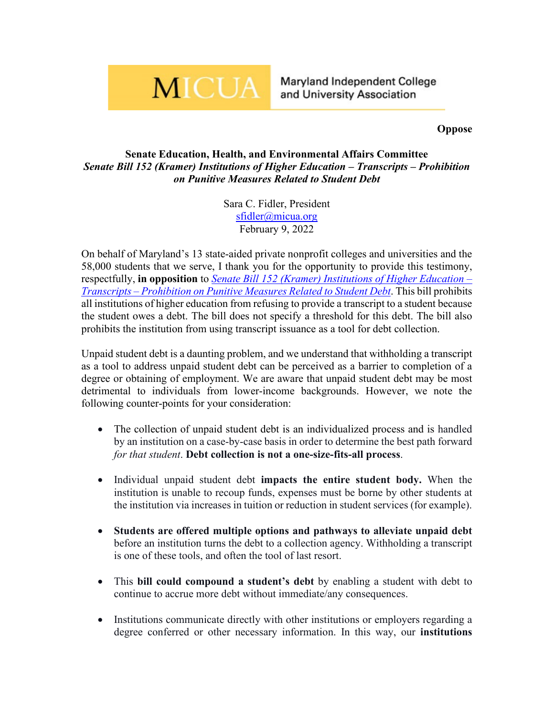## **MICUA**

Maryland Independent College and University Association

**Oppose**

## **Senate Education, Health, and Environmental Affairs Committee** *Senate Bill 152 (Kramer) Institutions of Higher Education – Transcripts – Prohibition on Punitive Measures Related to Student Debt*

Sara C. Fidler, President [sfidler@micua.org](mailto:sfidler@micua.org) February 9, 2022

On behalf of Maryland's 13 state-aided private nonprofit colleges and universities and the 58,000 students that we serve, I thank you for the opportunity to provide this testimony, respectfully, **in opposition** to *[Senate Bill 152 \(Kramer\) Institutions of](https://mgaleg.maryland.gov/mgawebsite/Legislation/Details/sb0152) Higher Education – Transcripts – [Prohibition on Punitive Measures Related to Student Debt](https://mgaleg.maryland.gov/mgawebsite/Legislation/Details/sb0152)*. This bill prohibits all institutions of higher education from refusing to provide a transcript to a student because the student owes a debt. The bill does not specify a threshold for this debt. The bill also prohibits the institution from using transcript issuance as a tool for debt collection.

Unpaid student debt is a daunting problem, and we understand that withholding a transcript as a tool to address unpaid student debt can be perceived as a barrier to completion of a degree or obtaining of employment. We are aware that unpaid student debt may be most detrimental to individuals from lower-income backgrounds. However, we note the following counter-points for your consideration:

- The collection of unpaid student debt is an individualized process and is handled by an institution on a case-by-case basis in order to determine the best path forward *for that student*. **Debt collection is not a one-size-fits-all process**.
- Individual unpaid student debt **impacts the entire student body.** When the institution is unable to recoup funds, expenses must be borne by other students at the institution via increases in tuition or reduction in student services (for example).
- **Students are offered multiple options and pathways to alleviate unpaid debt** before an institution turns the debt to a collection agency. Withholding a transcript is one of these tools, and often the tool of last resort.
- This **bill could compound a student's debt** by enabling a student with debt to continue to accrue more debt without immediate/any consequences.
- Institutions communicate directly with other institutions or employers regarding a degree conferred or other necessary information. In this way, our **institutions**